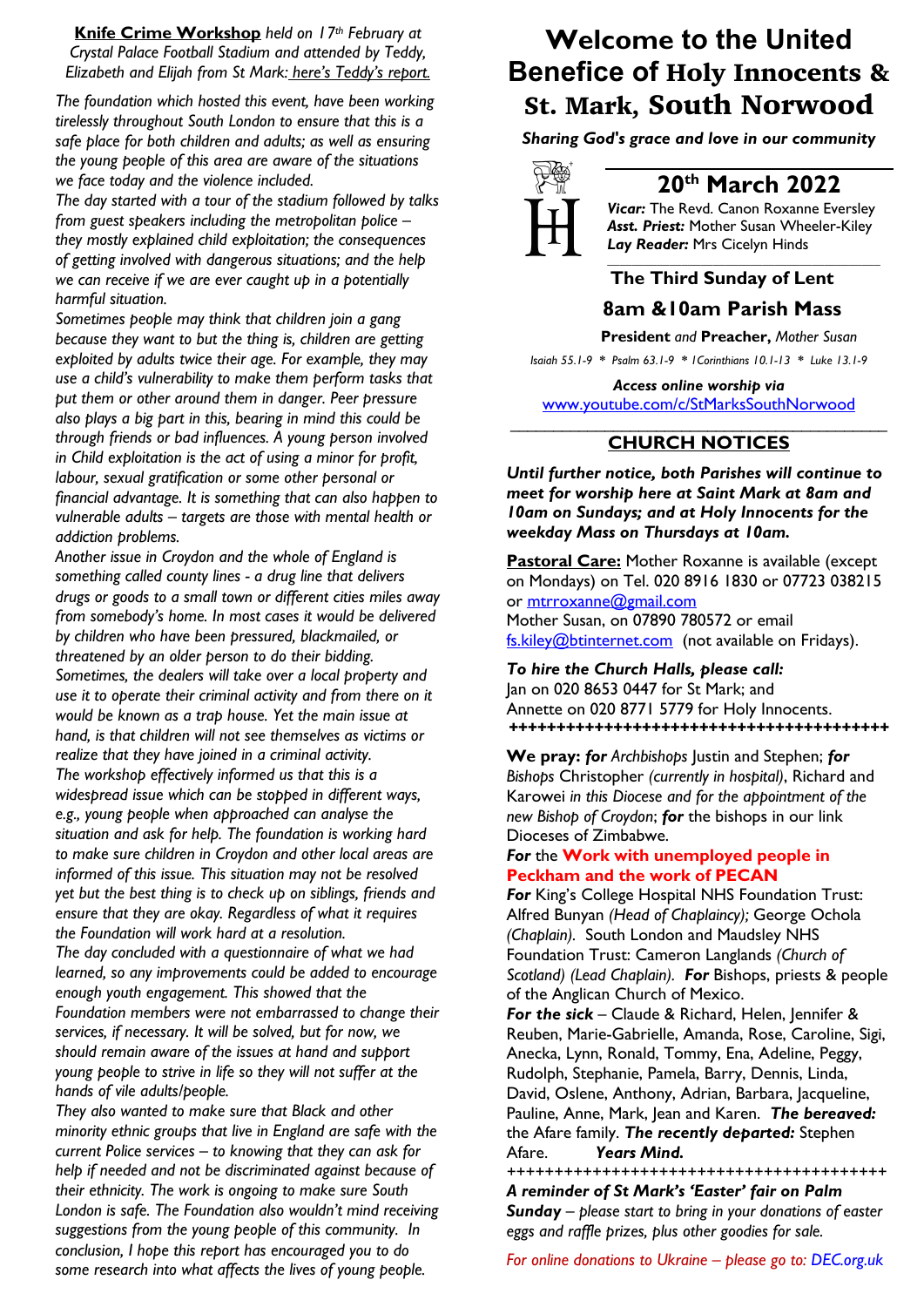**Knife Crime Workshop** *held on 17th February at Crystal Palace Football Stadium and attended by Teddy, Elizabeth and Elijah from St Mark: here's Teddy's report.*

*The foundation which hosted this event, have been working tirelessly throughout South London to ensure that this is a safe place for both children and adults; as well as ensuring the young people of this area are aware of the situations we face today and the violence included.*

*The day started with a tour of the stadium followed by talks from guest speakers including the metropolitan police – they mostly explained child exploitation; the consequences of getting involved with dangerous situations; and the help we can receive if we are ever caught up in a potentially harmful situation.* 

*Sometimes people may think that children join a gang because they want to but the thing is, children are getting exploited by adults twice their age. For example, they may use a child's vulnerability to make them perform tasks that put them or other around them in danger. Peer pressure also plays a big part in this, bearing in mind this could be through friends or bad influences. A young person involved in Child exploitation is the act of using a minor for profit, labour, sexual gratification or some other personal or financial advantage. It is something that can also happen to vulnerable adults – targets are those with mental health or addiction problems.* 

*Another issue in Croydon and the whole of England is something called county lines - a drug line that delivers drugs or goods to a small town or different cities miles away from somebody's home. In most cases it would be delivered by children who have been pressured, blackmailed, or threatened by an older person to do their bidding. Sometimes, the dealers will take over a local property and use it to operate their criminal activity and from there on it would be known as a trap house. Yet the main issue at hand, is that children will not see themselves as victims or realize that they have joined in a criminal activity. The workshop effectively informed us that this is a widespread issue which can be stopped in different ways, e.g., young people when approached can analyse the situation and ask for help. The foundation is working hard to make sure children in Croydon and other local areas are informed of this issue. This situation may not be resolved yet but the best thing is to check up on siblings, friends and ensure that they are okay. Regardless of what it requires the Foundation will work hard at a resolution. The day concluded with a questionnaire of what we had learned, so any improvements could be added to encourage enough youth engagement. This showed that the Foundation members were not embarrassed to change their services, if necessary. It will be solved, but for now, we should remain aware of the issues at hand and support young people to strive in life so they will not suffer at the* 

*hands of vile adults/people. They also wanted to make sure that Black and other minority ethnic groups that live in England are safe with the current Police services – to knowing that they can ask for help if needed and not be discriminated against because of their ethnicity. The work is ongoing to make sure South London is safe. The Foundation also wouldn't mind receiving suggestions from the young people of this community. In conclusion, I hope this report has encouraged you to do some research into what affects the lives of young people.*

# **Welcome to the United Benefice of** Holy Innocents & St. Mark, South Norwood

*Sharing God's grace and love in our community*



## **20th March 2022**

*Vicar:* The Revd. Canon Roxanne Eversley *Asst. Priest:* Mother Susan Wheeler-Kiley *Lay Reader:* Mrs Cicelyn Hinds *\_\_\_\_\_\_\_\_\_\_\_\_\_\_\_\_\_\_\_\_\_\_\_\_\_\_\_\_\_\_\_\_\_\_\_\_\_\_\_\_\_\_\_\_*

### **The Third Sunday of Lent 8am &10am Parish Mass**

 **President** *and* **Preacher,** *Mother Susan*

*Isaiah 55.1-9 \* Psalm 63.1-9 \* 1Corinthians 10.1-13 \* Luke 13.1-9*

*Access online worship via* www.youtube.com/c/StMarksSouthNorwood

#### \_\_\_\_\_\_\_\_\_\_\_\_\_\_\_\_\_\_\_\_\_\_\_\_\_\_\_\_\_\_\_\_\_\_\_\_\_\_\_\_\_\_\_\_ **CHURCH NOTICES**

*Until further notice, both Parishes will continue to meet for worship here at Saint Mark at 8am and 10am on Sundays; and at Holy Innocents for the weekday Mass on Thursdays at 10am.* 

**Pastoral Care:** Mother Roxanne is available (except on Mondays) on Tel. 020 8916 1830 or 07723 038215 or mtrroxanne@gmail.com Mother Susan, on 07890 780572 or email fs.kiley@btinternet.com (not available on Fridays).

*To hire the Church Halls, please call:* Jan on 020 8653 0447 for St Mark; and Annette on 020 8771 5779 for Holy Innocents. *++++++++++++++++++++++++++++++++++++++++*

**We pray:** *for Archbishops* Justin and Stephen; *for Bishops* Christopher *(currently in hospital)*, Richard and Karowei *in this Diocese and for the appointment of the new Bishop of Croydon*; *for* the bishops in our link Dioceses of Zimbabwe.

#### *For* the **Work with unemployed people in Peckham and the work of PECAN**

*For* King's College Hospital NHS Foundation Trust: Alfred Bunyan *(Head of Chaplaincy);* George Ochola *(Chaplain).* South London and Maudsley NHS Foundation Trust: Cameron Langlands *(Church of Scotland) (Lead Chaplain). For* Bishops, priests & people of the Anglican Church of Mexico.

*For the sick* – Claude & Richard, Helen, Jennifer & Reuben, Marie-Gabrielle, Amanda, Rose, Caroline, Sigi, Anecka, Lynn, Ronald, Tommy, Ena, Adeline, Peggy, Rudolph, Stephanie, Pamela, Barry, Dennis, Linda, David, Oslene, Anthony, Adrian, Barbara, Jacqueline, Pauline, Anne, Mark, Jean and Karen. *The bereaved:* the Afare family. *The recently departed:* Stephen Afare. *Years Mind.*

*++++++++++++++++++++++++++++++++++++++++ A reminder of St Mark's 'Easter' fair on Palm Sunday – please start to bring in your donations of easter eggs and raffle prizes, plus other goodies for sale.*

*For online donations to Ukraine – please go to: DEC.org.uk*